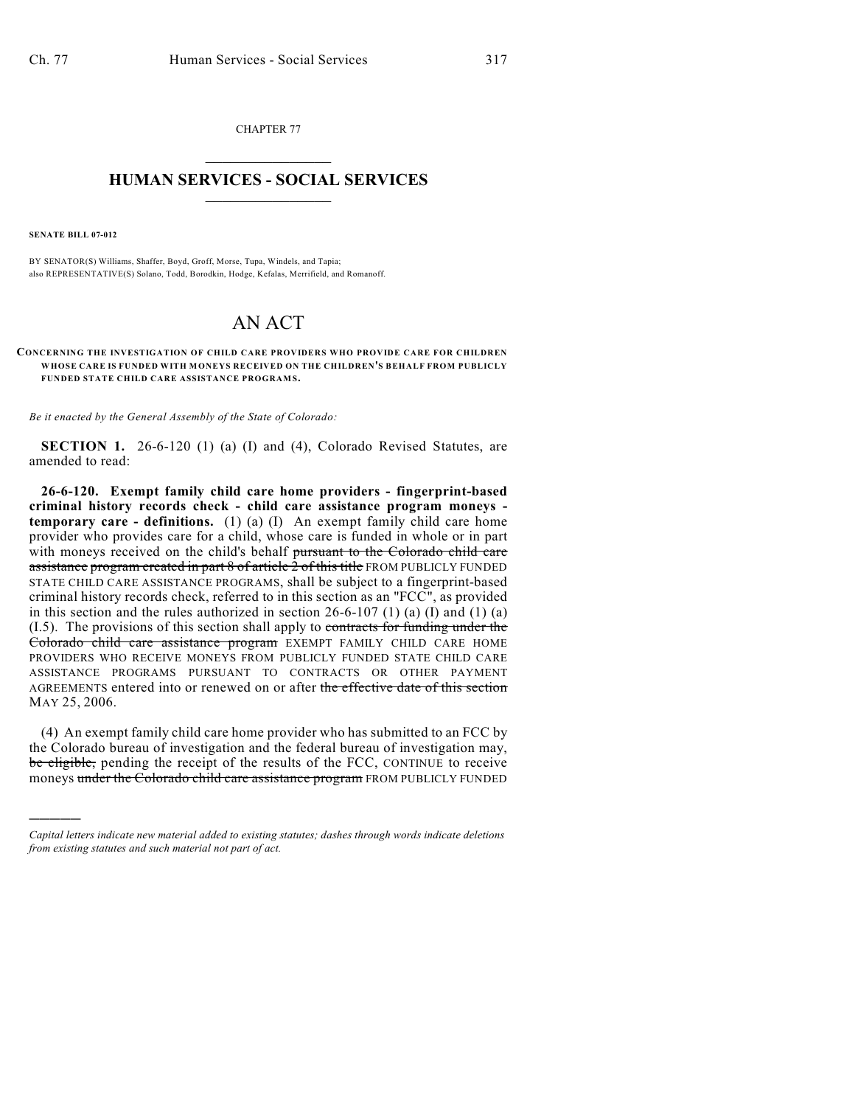CHAPTER 77  $\mathcal{L}_\text{max}$  . The set of the set of the set of the set of the set of the set of the set of the set of the set of the set of the set of the set of the set of the set of the set of the set of the set of the set of the set

## **HUMAN SERVICES - SOCIAL SERVICES**  $\frac{1}{2}$  ,  $\frac{1}{2}$  ,  $\frac{1}{2}$  ,  $\frac{1}{2}$  ,  $\frac{1}{2}$  ,  $\frac{1}{2}$  ,  $\frac{1}{2}$

**SENATE BILL 07-012**

)))))

BY SENATOR(S) Williams, Shaffer, Boyd, Groff, Morse, Tupa, Windels, and Tapia; also REPRESENTATIVE(S) Solano, Todd, Borodkin, Hodge, Kefalas, Merrifield, and Romanoff.

## AN ACT

## **CONCERNING THE INVESTIGATION OF CHILD CARE PROVIDERS WHO PROVIDE CARE FOR CHILDREN WHOSE CARE IS FUNDED WITH MONEYS RECEIVED ON THE CHILDREN'S BEHALF FROM PUBLICLY FUNDED STATE CHILD CARE ASSISTANCE PROGRAMS.**

*Be it enacted by the General Assembly of the State of Colorado:*

**SECTION 1.** 26-6-120 (1) (a) (I) and (4), Colorado Revised Statutes, are amended to read:

**26-6-120. Exempt family child care home providers - fingerprint-based criminal history records check - child care assistance program moneys temporary care - definitions.** (1) (a) (I) An exempt family child care home provider who provides care for a child, whose care is funded in whole or in part with moneys received on the child's behalf pursuant to the Colorado child care assistance program created in part 8 of article 2 of this title FROM PUBLICLY FUNDED STATE CHILD CARE ASSISTANCE PROGRAMS, shall be subject to a fingerprint-based criminal history records check, referred to in this section as an "FCC", as provided in this section and the rules authorized in section  $26-6-107$  (1) (a) (I) and (1) (a) (I.5). The provisions of this section shall apply to contracts for funding under the Colorado child care assistance program EXEMPT FAMILY CHILD CARE HOME PROVIDERS WHO RECEIVE MONEYS FROM PUBLICLY FUNDED STATE CHILD CARE ASSISTANCE PROGRAMS PURSUANT TO CONTRACTS OR OTHER PAYMENT AGREEMENTS entered into or renewed on or after the effective date of this section MAY 25, 2006.

(4) An exempt family child care home provider who has submitted to an FCC by the Colorado bureau of investigation and the federal bureau of investigation may, be eligible, pending the receipt of the results of the FCC, CONTINUE to receive moneys under the Colorado child care assistance program FROM PUBLICLY FUNDED

*Capital letters indicate new material added to existing statutes; dashes through words indicate deletions from existing statutes and such material not part of act.*